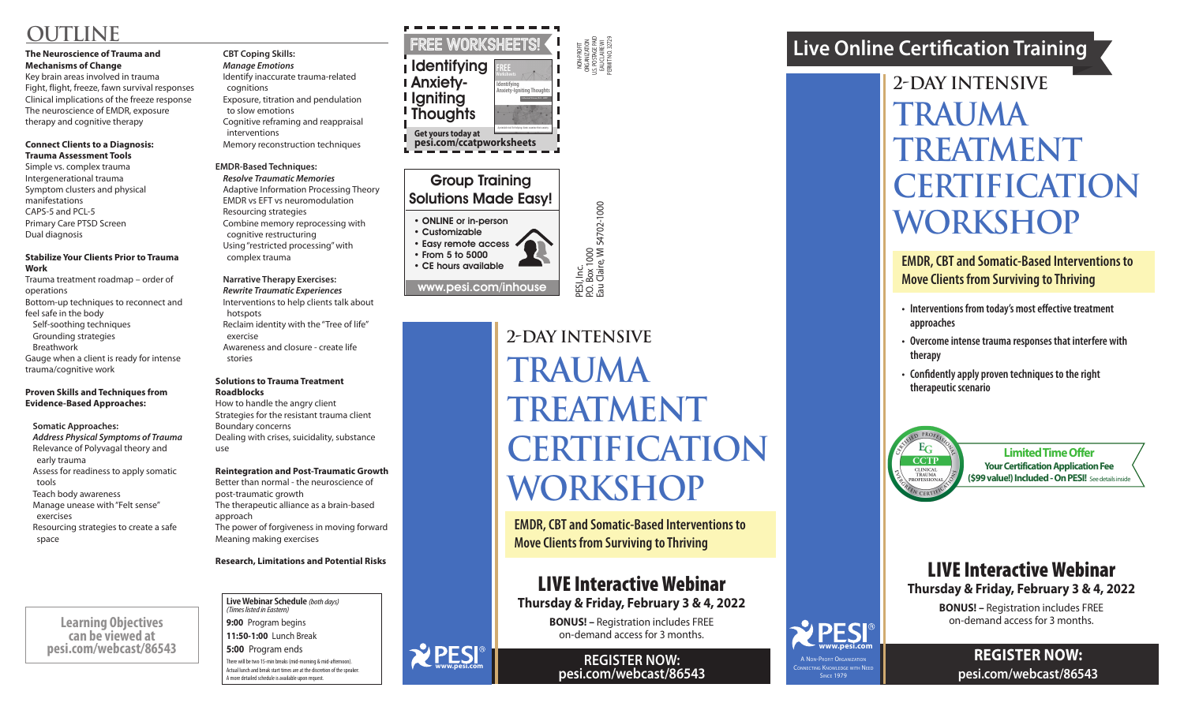NON-PROFIT ORGANIZATION U.S. POSTAGE PAID EAU CLAIRE WI PERMIT NO. 32729

PESI, Inc.<br>P.O. Box 1000<br>Eau Claire, Wl 54702-1000 P.O. Box 1000 Eau Claire, WI 54702-1000

## Group Training Solutions Made Easy!

• ONLINE or in-person

• Customizable • Easy remote access • From 5 to 5000 • CE hours available

www.pesi.com/inhouse

### **REGISTER NOW: pesi.com/webcast/86543**

# **2-Day intensive Trauma TREATMENT Certification Workshop**

- **• Interventions from today's most effective treatment approaches**
- **• Overcome intense trauma responses that interfere with therapy**
- **• Confidently apply proven techniques to the right therapeutic scenario**



**EMDR, CBT and Somatic-Based Interventions to Move Clients from Surviving to Thriving**



# **Live Online Certification Training**

# LIVE Interactive Webinar **Thursday & Friday, February 3 & 4, 2022**

**BONUS! –** Registration includes FREE on-demand access for 3 months.

ONNECTING KNOWLEDGE WITH NEED **SINCE 1979** 

**Limited Time Offer Your Certification Application Fee (\$99 value!) Included - On PESI!** See details inside

**REGISTER NOW: pesi.com/webcast/86543**

# LIVE Interactive Webinar **Thursday & Friday, February 3 & 4, 2022**

**BONUS! –** Registration includes FREE on-demand access for 3 months.

# **2-Day intensive Trauma Treatment Certification Workshop**

**www.pesi.com**

**EMDR, CBT and Somatic-Based Interventions to Move Clients from Surviving to Thriving**

**Live Webinar Schedule** *(both days) (Times listed in Eastern)*

**9:00** Program begins **11:50-1:00** Lunch Break **5:00** Program ends

There will be two 15-min breaks (mid-morning & mid-afternoon). Actual lunch and break start times are at the discretion of the speaker. A more detailed schedule is available upon request.

# **OUTLINE**

### **The Neuroscience of Trauma and Mechanisms of Change**

Key brain areas involved in trauma Fight, flight, freeze, fawn survival responses Clinical implications of the freeze response The neuroscience of EMDR, exposure therapy and cognitive therapy

### **Connect Clients to a Diagnosis: Trauma Assessment Tools**

Simple vs. complex trauma Intergenerational trauma Symptom clusters and physical manifestations CAPS-5 and PCL-5 Primary Care PTSD Screen Dual diagnosis

### **Stabilize Your Clients Prior to Trauma Work**

Trauma treatment roadmap – order of operations Bottom-up techniques to reconnect and feel safe in the body Self-soothing techniques Grounding strategies Breathwork Gauge when a client is ready for intense trauma/cognitive work

### **Proven Skills and Techniques from Evidence-Based Approaches:**

**Somatic Approaches:**

*Address Physical Symptoms of Trauma* Relevance of Polyvagal theory and early trauma Assess for readiness to apply somatic tools Teach body awareness Manage unease with "Felt sense" exercises Resourcing strategies to create a safe space

### **CBT Coping Skills:**

*Manage Emotions* Identify inaccurate trauma-related cognitions Exposure, titration and pendulation to slow emotions Cognitive reframing and reappraisal interventions Memory reconstruction techniques

### **EMDR-Based Techniques:**

*Resolve Traumatic Memories* Adaptive Information Processing Theory EMDR vs EFT vs neuromodulation Resourcing strategies Combine memory reprocessing with cognitive restructuring Using "restricted processing" with complex trauma

### **Narrative Therapy Exercises:** *Rewrite Traumatic Experiences* Interventions to help clients talk about

 hotspots Reclaim identity with the "Tree of life" exercise

Awareness and closure - create life stories

### **Solutions to Trauma Treatment Roadblocks**

How to handle the angry client Strategies for the resistant trauma client Boundary concerns Dealing with crises, suicidality, substance use

### **Reintegration and Post-Traumatic Growth**

Better than normal - the neuroscience of post-traumatic growth The therapeutic alliance as a brain-based approach

The power of forgiveness in moving forward Meaning making exercises

**Research, Limitations and Potential Risks**

**Learning Objectives can be viewed at pesi.com/webcast/86543**